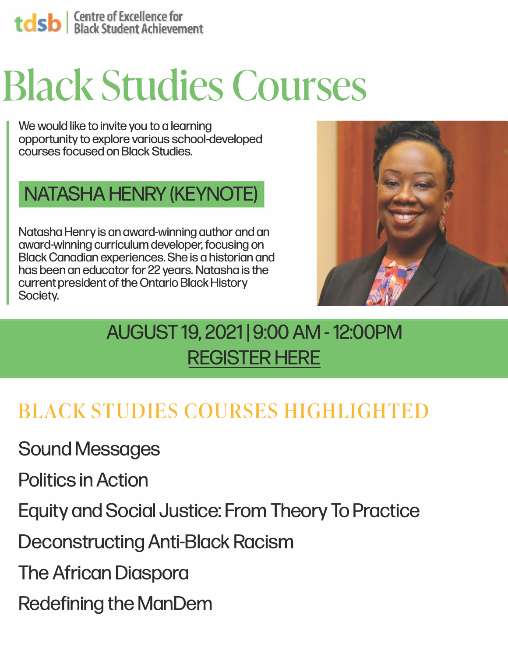## **Sb** | Centre of Excellence for<br>
Black Student Achievement

# **Blacl< Studies Courses**  Black Studies Courses

We would like to invite you to a learning opportunity to explore various school-developed courses focused on Black Studies.

#### **NATASHA HENRY (KEYNOTE)**

Natasha Henry is an award-winning author and an award-winning curriculum developer, focusing on Black Canadian experiences. She is a historian and has been an educator for 22 years. Natasha is the current president of the Ontario Black History Society.



## AUGUST 19, 2021 | 9:00 AM - 12:00PM **[REGISTER HERE](https://forms.gle/Thufdc2MaStBt7Vw5)**

## **BLACK STUDIES COURSES HIGHLIGHTED**

Sound Messages

Politics in Action

Equity and Social Justice: From Theory To Practice

Deconstructing Anti-Black Racism

The African Diaspora

Redefining the ManDem